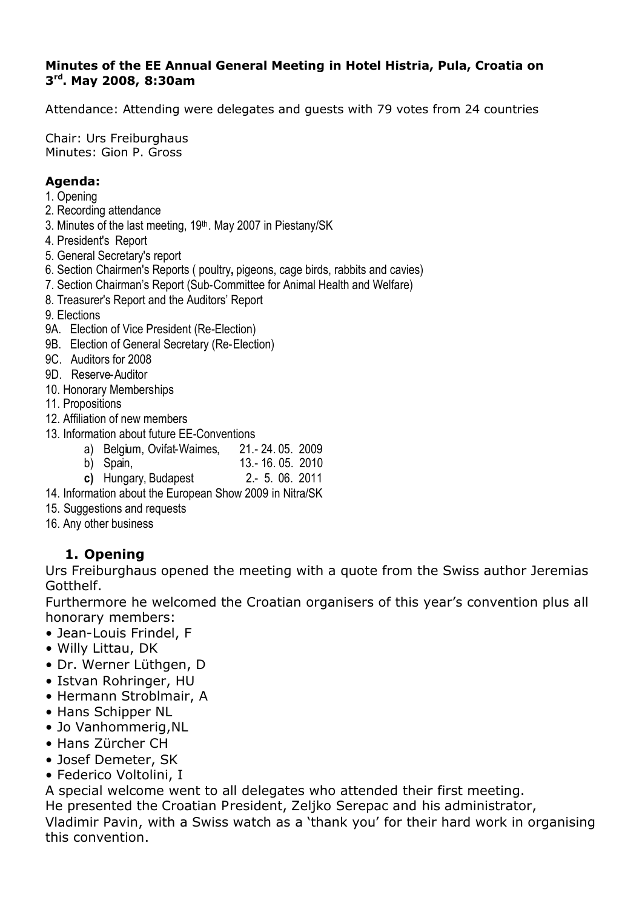#### **Minutes of the EE Annual General Meeting in Hotel Histria, Pula, Croatia on 3 rd. May 2008, 8:30am**

Attendance: Attending were delegates and guests with 79 votes from 24 countries

Chair: Urs Freiburghaus Minutes: Gion P. Gross

#### **Agenda:**

- 1. Opening
- 2. Recording attendance
- 3. Minutes of the last meeting, 19<sup>th</sup>. May 2007 in Piestany/SK
- 4. President's Report
- 5. General Secretary's report
- 6. Section Chairmen's Reports ( poultry**,** pigeons, cage birds, rabbits and cavies)
- 7. Section Chairman's Report (Sub-Committee for Animal Health and Welfare)
- 8. Treasurer's Report and the Auditors' Report
- 9. Elections
- 9A. Election of Vice President (Re-Election)
- 9B. Election of General Secretary (Re-Election)
- 9C. Auditors for 2008
- 9D. Reserve-Auditor
- 10. Honorary Memberships
- 11. Propositions
- 12. Affiliation of new members
- 13. Information about future EE-Conventions
	- a) Belgium, Ovifat-Waimes, 21.- 24. 05. 2009
	- b) Spain, 13.- 16. 05. 2010
	- **c)** Hungary, Budapest 2.- 5. 06. 2011
- 14. Information about the European Show 2009 in Nitra/SK
- 15. Suggestions and requests
- 16. Any other business

# **1. Opening**

Urs Freiburghaus opened the meeting with a quote from the Swiss author Jeremias Gotthelf.

Furthermore he welcomed the Croatian organisers of this year's convention plus all honorary members:

- Jean-Louis Frindel, F
- Willy Littau, DK
- Dr. Werner Lüthgen, D
- Istvan Rohringer, HU
- Hermann Stroblmair, A
- Hans Schipper NL
- Jo Vanhommerig,NL
- Hans Zürcher CH
- Josef Demeter, SK
- Federico Voltolini, I

A special welcome went to all delegates who attended their first meeting.

He presented the Croatian President, Zeljko Serepac and his administrator,

Vladimir Pavin, with a Swiss watch as a 'thank you' for their hard work in organising this convention.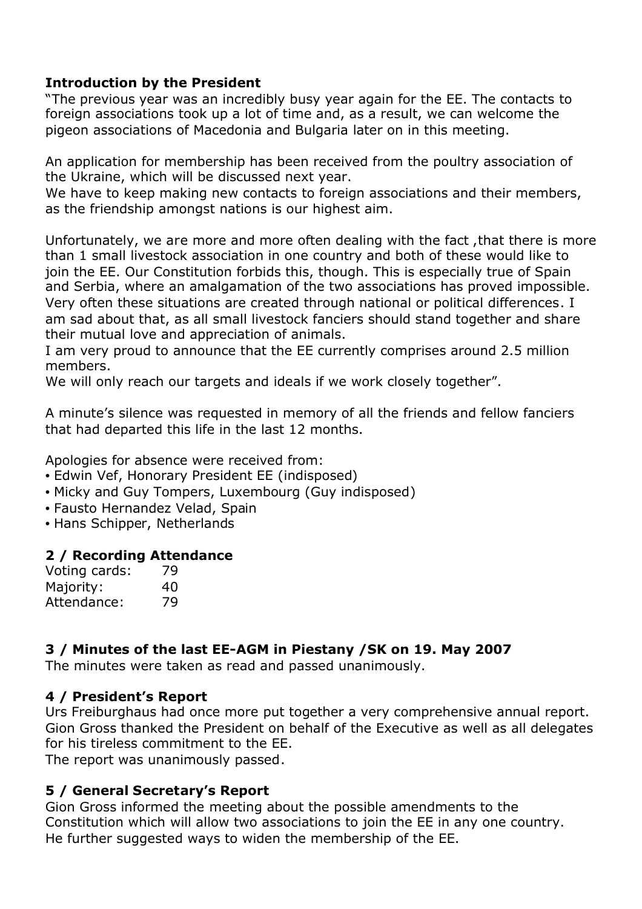# **Introduction by the President**

"The previous year was an incredibly busy year again for the EE. The contacts to foreign associations took up a lot of time and, as a result, we can welcome the pigeon associations of Macedonia and Bulgaria later on in this meeting.

An application for membership has been received from the poultry association of the Ukraine, which will be discussed next year.

We have to keep making new contacts to foreign associations and their members, as the friendship amongst nations is our highest aim.

Unfortunately, we are more and more often dealing with the fact ,that there is more than 1 small livestock association in one country and both of these would like to join the EE. Our Constitution forbids this, though. This is especially true of Spain and Serbia, where an amalgamation of the two associations has proved impossible. Very often these situations are created through national or political differences. I am sad about that, as all small livestock fanciers should stand together and share their mutual love and appreciation of animals.

I am very proud to announce that the EE currently comprises around 2.5 million members.

We will only reach our targets and ideals if we work closely together".

A minute's silence was requested in memory of all the friends and fellow fanciers that had departed this life in the last 12 months.

Apologies for absence were received from:

- Edwin Vef, Honorary President EE (indisposed)
- Micky and Guy Tompers, Luxembourg (Guy indisposed)
- Fausto Hernandez Velad, Spain
- Hans Schipper, Netherlands

# **2 / Recording Attendance**

| Voting cards: | 79 |
|---------------|----|
| Majority:     | 40 |
| Attendance:   | 79 |

# **3 / Minutes of the last EE-AGM in Piestany /SK on 19. May 2007**

The minutes were taken as read and passed unanimously.

#### **4 / President's Report**

Urs Freiburghaus had once more put together a very comprehensive annual report. Gion Gross thanked the President on behalf of the Executive as well as all delegates for his tireless commitment to the EE.

The report was unanimously passed.

# **5 / General Secretary's Report**

Gion Gross informed the meeting about the possible amendments to the Constitution which will allow two associations to join the EE in any one country. He further suggested ways to widen the membership of the EE.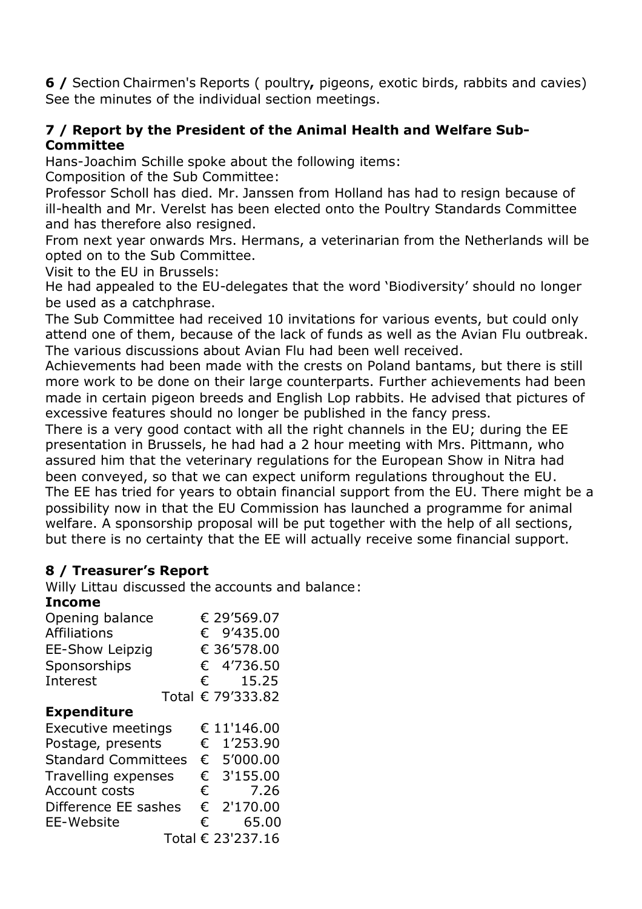**6 /** Section Chairmen's Reports ( poultry**,** pigeons, exotic birds, rabbits and cavies) See the minutes of the individual section meetings.

# **7 / Report by the President of the Animal Health and Welfare Sub-Committee**

Hans-Joachim Schille spoke about the following items:

Composition of the Sub Committee:

Professor Scholl has died. Mr. Janssen from Holland has had to resign because of ill-health and Mr. Verelst has been elected onto the Poultry Standards Committee and has therefore also resigned.

From next year onwards Mrs. Hermans, a veterinarian from the Netherlands will be opted on to the Sub Committee.

Visit to the EU in Brussels:

He had appealed to the EU-delegates that the word 'Biodiversity' should no longer be used as a catchphrase.

The Sub Committee had received 10 invitations for various events, but could only attend one of them, because of the lack of funds as well as the Avian Flu outbreak. The various discussions about Avian Flu had been well received.

Achievements had been made with the crests on Poland bantams, but there is still more work to be done on their large counterparts. Further achievements had been made in certain pigeon breeds and English Lop rabbits. He advised that pictures of excessive features should no longer be published in the fancy press.

There is a very good contact with all the right channels in the EU; during the EE presentation in Brussels, he had had a 2 hour meeting with Mrs. Pittmann, who assured him that the veterinary regulations for the European Show in Nitra had been conveyed, so that we can expect uniform regulations throughout the EU. The EE has tried for years to obtain financial support from the EU. There might be a possibility now in that the EU Commission has launched a programme for animal welfare. A sponsorship proposal will be put together with the help of all sections, but there is no certainty that the EE will actually receive some financial support.

# **8 / Treasurer's Report**

Willy Littau discussed the accounts and balance:

| Opening balance            |  |   | € 29'569.07       |
|----------------------------|--|---|-------------------|
| <b>Affiliations</b>        |  | € | 9'435.00          |
| <b>EE-Show Leipzig</b>     |  |   | € 36'578.00       |
| Sponsorships               |  | € | 4′736.50          |
| Interest                   |  |   | € 15.25           |
|                            |  |   | Total € 79'333.82 |
| <b>Expenditure</b>         |  |   |                   |
| <b>Executive meetings</b>  |  |   | € 11'146.00       |
| Postage, presents          |  | € | 1'253.90          |
| <b>Standard Committees</b> |  | € | 5'000.00          |
| Travelling expenses        |  | € | 3'155.00          |
| Account costs              |  | € | 7.26              |
| Difference EE sashes       |  | € | 2'170.00          |
| EE-Website                 |  | € | 65.00             |
|                            |  |   | Total € 23'237.16 |
|                            |  |   |                   |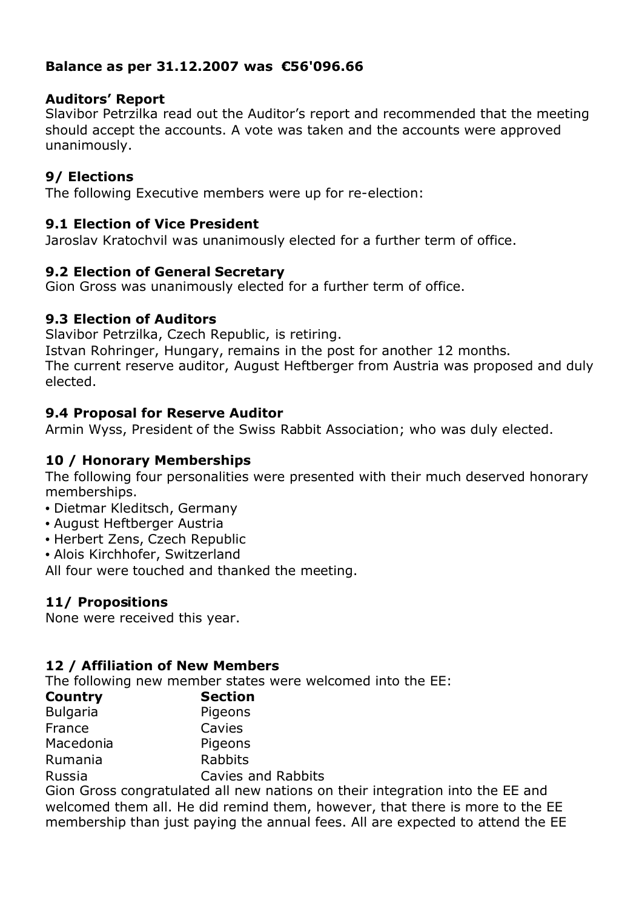### **Balance as per 31.12.2007 was €56'096.66**

#### **Auditors' Report**

Slavibor Petrzilka read out the Auditor's report and recommended that the meeting should accept the accounts. A vote was taken and the accounts were approved unanimously.

### **9/ Elections**

The following Executive members were up for re-election:

### **9.1 Election of Vice President**

Jaroslav Kratochvil was unanimously elected for a further term of office.

### **9.2 Election of General Secretary**

Gion Gross was unanimously elected for a further term of office.

# **9.3 Election of Auditors**

Slavibor Petrzilka, Czech Republic, is retiring.

Istvan Rohringer, Hungary, remains in the post for another 12 months. The current reserve auditor, August Heftberger from Austria was proposed and duly elected.

# **9.4 Proposal for Reserve Auditor**

Armin Wyss, President of the Swiss Rabbit Association; who was duly elected.

# **10 / Honorary Memberships**

The following four personalities were presented with their much deserved honorary memberships.

- Dietmar Kleditsch, Germany
- August Heftberger Austria
- Herbert Zens, Czech Republic
- Alois Kirchhofer, Switzerland

All four were touched and thanked the meeting.

# **11/ Propositions**

None were received this year.

# **12 / Affiliation of New Members**

The following new member states were welcomed into the EE:

| <b>Country</b>  | <b>Section</b>            |
|-----------------|---------------------------|
| <b>Bulgaria</b> | Pigeons                   |
| France          | Cavies                    |
| Macedonia       | Pigeons                   |
| Rumania         | <b>Rabbits</b>            |
| Russia          | <b>Cavies and Rabbits</b> |

Gion Gross congratulated all new nations on their integration into the EE and welcomed them all. He did remind them, however, that there is more to the EE membership than just paying the annual fees. All are expected to attend the EE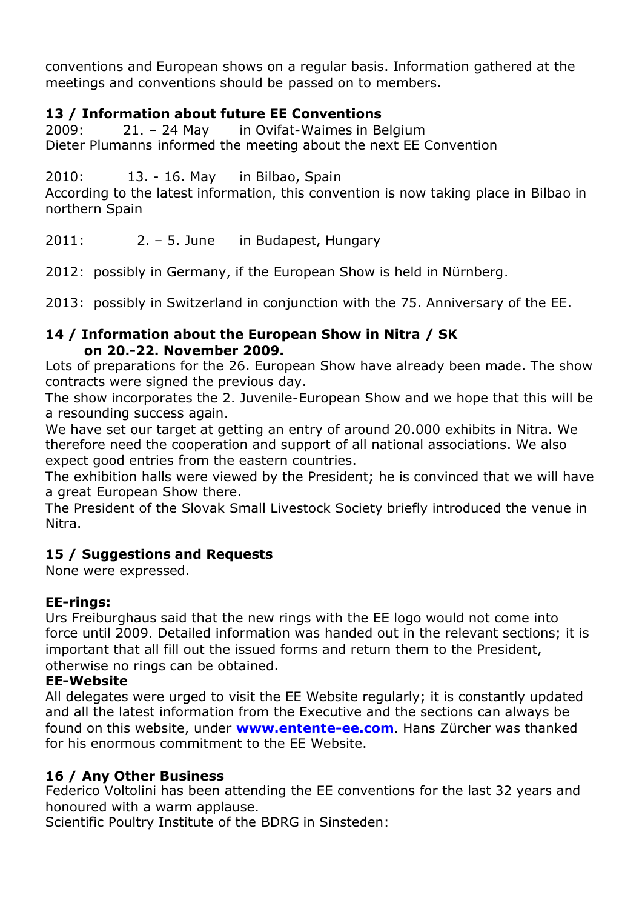conventions and European shows on a regular basis. Information gathered at the meetings and conventions should be passed on to members.

# **13 / Information about future EE Conventions**

2009: 21. – 24 May in Ovifat-Waimes in Belgium Dieter Plumanns informed the meeting about the next EE Convention

2010: 13. - 16. May in Bilbao, Spain

According to the latest information, this convention is now taking place in Bilbao in northern Spain

2011: 2. – 5. June in Budapest, Hungary

2012: possibly in Germany, if the European Show is held in Nürnberg.

2013: possibly in Switzerland in conjunction with the 75. Anniversary of the EE.

#### **14 / Information about the European Show in Nitra / SK on 20.-22. November 2009.**

Lots of preparations for the 26. European Show have already been made. The show contracts were signed the previous day.

The show incorporates the 2. Juvenile-European Show and we hope that this will be a resounding success again.

We have set our target at getting an entry of around 20.000 exhibits in Nitra. We therefore need the cooperation and support of all national associations. We also expect good entries from the eastern countries.

The exhibition halls were viewed by the President; he is convinced that we will have a great European Show there.

The President of the Slovak Small Livestock Society briefly introduced the venue in Nitra.

# **15 / Suggestions and Requests**

None were expressed.

# **EE-rings:**

Urs Freiburghaus said that the new rings with the EE logo would not come into force until 2009. Detailed information was handed out in the relevant sections; it is important that all fill out the issued forms and return them to the President, otherwise no rings can be obtained.

# **EE-Website**

All delegates were urged to visit the EE Website regularly; it is constantly updated and all the latest information from the Executive and the sections can always be found on this website, under **www.entente-ee.com**. Hans Zürcher was thanked for his enormous commitment to the EE Website.

# **16 / Any Other Business**

Federico Voltolini has been attending the EE conventions for the last 32 years and honoured with a warm applause.

Scientific Poultry Institute of the BDRG in Sinsteden: